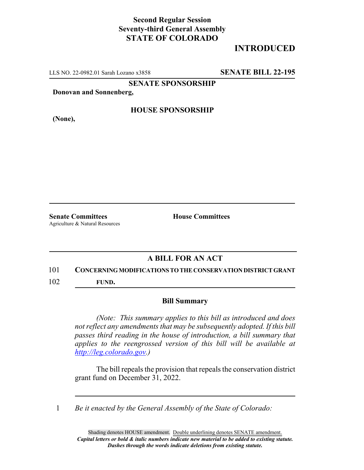## **Second Regular Session Seventy-third General Assembly STATE OF COLORADO**

# **INTRODUCED**

LLS NO. 22-0982.01 Sarah Lozano x3858 **SENATE BILL 22-195**

**SENATE SPONSORSHIP**

**Donovan and Sonnenberg,**

**(None),**

### **HOUSE SPONSORSHIP**

**Senate Committees House Committees** Agriculture & Natural Resources

## **A BILL FOR AN ACT**

#### 101 **CONCERNING MODIFICATIONS TO THE CONSERVATION DISTRICT GRANT**

102 **FUND.**

#### **Bill Summary**

*(Note: This summary applies to this bill as introduced and does not reflect any amendments that may be subsequently adopted. If this bill passes third reading in the house of introduction, a bill summary that applies to the reengrossed version of this bill will be available at http://leg.colorado.gov.)*

The bill repeals the provision that repeals the conservation district grant fund on December 31, 2022.

1 *Be it enacted by the General Assembly of the State of Colorado:*